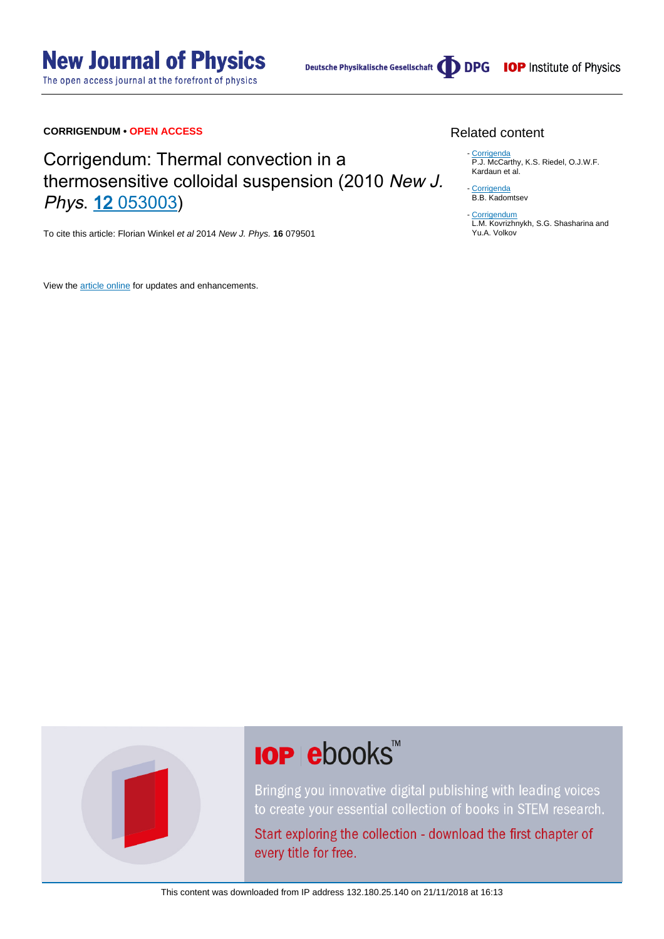The open access journal at the forefront of physics

Deutsche Physikalische Gesellschaft **DDPG** IOP Institute of Physics

### **CORRIGENDUM • OPEN ACCESS**

### Corrigendum: Thermal convection in a thermosensitive colloidal suspension (2010 New J. Phys. 12 [053003](http://dx.doi.org/10.1088/1367-2630/12/5/053003))

To cite this article: Florian Winkel et al 2014 New J. Phys. **16** 079501

View the [article online](https://doi.org/10.1088/1367-2630/16/7/079501) for updates and enhancements.

#### Related content

- [Corrigenda](http://iopscience.iop.org/article/10.1088/0029-5515/31/11/020) P.J. McCarthy, K.S. Riedel, O.J.W.F. Kardaun et al.

- [Corrigenda](http://iopscience.iop.org/article/10.1088/0029-5515/31/11/019) B.B. Kadomtsev

[Corrigendum](http://iopscience.iop.org/article/10.1088/0029-5515/30/11/021) - L.M. Kovrizhnykh, S.G. Shasharina and Yu.A. Volkov



# **IOP ebooks**™

Bringing you innovative digital publishing with leading voices to create your essential collection of books in STEM research.

Start exploring the collection - download the first chapter of every title for free.